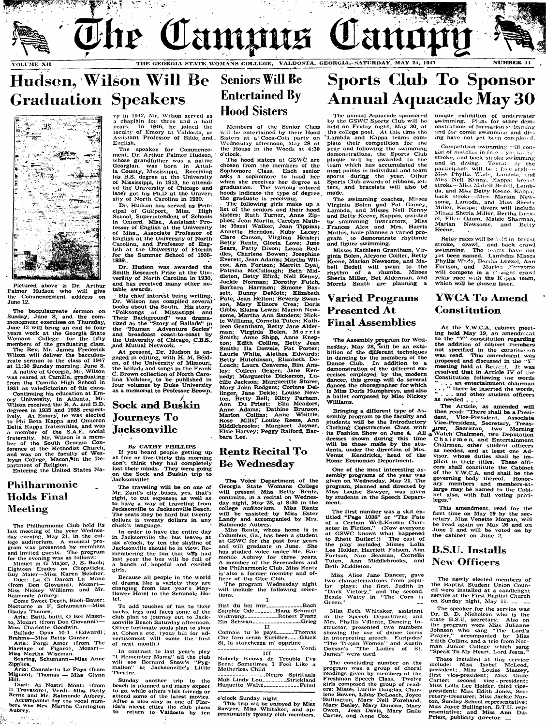

## Hudson, Wilson Will Be **Graduation Speakers**



**Pictured above is Dr. Arthur** Palmer Hudson who will give **the Commencement address on June 12.**

The bacculaureate sermon on **Sunday, June 8, and the commencement exercisea^ on Thursday, June 12 will bring an end to four ^\*ears work at the Georgia State Womans College for the fifty members of the graduating class. The Rev. Mr. James Frederick Wilson will deliver the bacculaureate sermon to the ciass of 1947 at 11:30 Sunday morning, June 8. A native of Georgia, Mr. Wilson was reared at Camilla, graduating from the Camilla High School in 1931 as valedictorian of his class.**

Ballade Opus 10-1 (Edward), **Brahms— Miss Betty Gunter.** Aria: Porgi Amor (from The **Marriage of Figaro), Mozart— Miss Martha Wiseman.**

**Continuing his education at Em ory University, in Atlanta, Mr. Wilson received the B. A . and B.D. degrees in 1935 and 1938 respect**ively. At Emory, he was elected **to Phi Beta Kappa and Omicron Delta Kappa fraternities, and was a member of the S.A.E. social fraternity. Mr. Wilson is a member of the South Georgia Conference of the Methodist Church,** an**d** was on the faculty of Wes**leyan College, Macon,^in the Department of Religion.**

**Entering the United States Na-**

**Duet: Ai Nostri Monti (from H Trovatorc). Verdi— Miss Betty Rentz and Mr. Raimonde Aubrey. Accompanist for the vocai numbers was Mrs Martha Carrington Aubrey.**  $\mathcal{O}^1_{\mathbb{Z}^3}$ 

 $\rightarrow \pi^{\ast}$ 

العوارة

ການ *ສະມາຊິກ ຈັນເຈ* 

### **Phiiharmonic Holds Final Meeting**

**The Philharmonic Club held its last meeting of the year Wednesday evening. May 21, in the college auditorium. A musical program was presented by members and invited guests. The program for the evening was as foUows:**

**Minuet in G Major, J. S. Bach; Eighteen Etudes on Chopsticks, Guy Maier— Miss Karen Belcher.**

**Duct: La Ci Darcm La Mano (from Don Giovanni), Mozart— Miss Nickey Williams and Mr. Raimonde Aubrey.**

**Come Sweet Death, Bach-Baucr;** Nocturne in F, Schumann-Miss **Gladys Thames.**

**Aria: Batti, batti, O Bel Masetto, Mozart (from Don Giovanni) — Miss Charlotte Goodwin.**

At present, Dr. Hudson is engaged in editing, with H. M. Beld**en, of the University of Missouri, the ballads and songs in the Frank C. Brown collection of North Carolina Folklore, to be published in four volumes by Duke University as a memorial to Professor Brown.**

**Soaring, Schumann— Miss Anne Zipphca.**

**Aria: Connais-tu Lc Pays (from Mignon), Thomas — Miss Glynn Hill.**

The hood sisters at GSWC are **chosen from the members of the Sophomore Class. Each senior asks a sophomore to hood her when she receives her degree at graduation. The various colored hoods indicate the type of degree the graduate is receiving.**

**vy in 1942. Mr. Wilson served as a chaplain for three and a half years. In 19^16, he joined tiic faculty of Emory at Valdosta, as Assistant Professor of Bible, and. English.**

**The speaker for Commencement, Dr. Arthur Palmer Hudson, whose grandfather was a native Georgiatt, was born in Attalla County, Mississippi. Receiving Itis B.S. degree at the University of Mississippi, in 1913, he attended the University of Chicago and later got his Ph.D at the Univer^ sity of North Carolina in 1930.**

**Dr. Hudson has served as Principal of Gulfport, Miss. High Sciiool, Superintendent of Schools in Oxford, Miss., Assistant Pro fessor of English at the University of Miss., Associate Professor of English at the University of North Carolina, and Professor of English at the University of Florida for the Summer School of 1938- 1939.**

**Dr. Hudson was awarded the Smith Research Prize at the UinverSity of North Carolina in 1930, and has received many other notable awards.**

**Misses Kathleen Grantham, Virginia Bolen, Alcyone Collier, Betty K**eene, Marian Newsome, and Ma**bell Bedell w ili swim to the rhythm of a rhumba. Misses Sherla Miller, Bet Alderman, and Morris Smith are planning a**

**unique exhibition of undersvater** swimming. Plans for other demonstrations of formation swimming **and for comic swimming and di** ing have not yet been coropleted.

**His chief interest being writing, Dr. Wilson has compiled several books about the South. His story, "Folksongs of Mississippi and . Their Background" was dramatized as the "Story of Ballads" in the "Human Adventure Series" and broadcast coast-to-coast by the University of Chicago, C.B.S., ,and Mutual Network.**

Competition swimming will consist of matches in free style, becast **stroke, and back stroke swimming and in diving. Tentat iy the parLiciparit^ will 1.^\* ; fi f e styk — Phyllis W ad . Lam:)fia. and Miss Nell Kenny, Kappa; breast stroke - Mi^s M.ST.ell Bedeil. Lam bda. and Mis^s Betty Keene. Kappa:** back stroke---- Miss Marian Newsome, Lambda, and Miss Sherla **Miller, Kappa; divers will include MixSiLS Sherla Miller, Bertha Drexel, Ellen Lidum. Maisie Sharman, Marian Newsome, and Betty Keene.**

Relay races will be held in breast stroke, crawl, and back crawl swimming. The reams have not **^et been named. Lambdas Misses Phyllis Wade, Bet Drexel, Ann**  $\blacksquare$  **Fortson, and** Marion Newsome **will compete in a s** jaight crawl **relay race with the K ppa team,** which will be chosen later.

### **Sock and Buskin Journeys To Jacksonville**

#### **By CATHY PHILLIPS**

**If you heard people getting up at five or five-thirty this morning don't think they had completely lost their minds. They were going** on the Sock and Buskin trip to Jacksonville!

### Seniors Will Be Entertained By Hood Sisters

**Members of the Senior Class** will be entertained by their Hood Sisters at a Coca-Cola party on **Wednesday afternoon, May 28 at the House in the Woods at 4:30 o'clock.**

Because all people in the world ficer of the Glee Club,<br>drama like a variety they are The program Wednesday night of drama like a variety they are changing from last year's May**fiower Hotel to the Seminole Ho- tions tel. ' I**

**To add touches of tan to their Bist du bci mir-------------------Bach backs, legs and faces some of the Sapphic Ode----------- Hans Schmidt club plan to journey out to Jack- Widmung------------------ Robert Franz sonvillc Beach Saturday afternoon. Ein Schwan-------------- —Grieg** Other fortunate souls plan to shop<br>at Cohen's etc. (your bill for advertisement will come the first

of next month.)<br> **of next months** in contrast to last year's play<br> **of the standard of the standard of the standard CO**<br> **of the standard of the standard CO**<br> **of the standard CO**<br> **of the standard CO**<br> **of the standard CO** In contrast to last year's play<br>"I Remember Mama" all the club will see Bernard Shaw's "Pyg- Seen: Sometimes I Feel Like a malion" at Jacksonville's Little Motherless Child

beach is planned and many expect to go, while others visit friends or attend some of the latest movies, o'clock Sunday night.<br>After a nice stay in one of Flor-<br>This trip wil be enjo

will include the following selec-

**Connais tu le pays-------Thomas**<br>Che faro senza Euridice----Gluck

**I Remember Mama" all the club Wobody Knows de Trouble I've** 

heatre.<br>**Sunday** another trip to the Mah-Lindy-Lou-Mah Lindy Lou-**--------Strickland**<br>Huquette Waltz-------------Friml

This trip wil be enjoyed by Miss **m S,. T,. A,. T,.** *Sawyer, Miss Whitaker, and ap-***<br>
<b>***return to Valdosta by ten proximately twenty club members.* 

**The following girls make up a** list of the seniors and their hood sisters: Ruth Turner, Anne Zip**plics; Jean Martin, Carolyn Mathisn Hazel Walker, Jean Tippins; Annette Herndon, Ruby Lacey; Clare Carson, Virginia Heisler; Betty Rentz, G loria Love; June Sears, Patty Dixon; Leona Reddles, Charlene Bowen; Josephine** Everett, Jean Adams; Martha Wil**cox, Ann Fortson; Merritt Dyal,** Patricia McCullough; Beth Middleton, Betty **E**fird; Nell **K**enny, **Jackie Norman; Dorothy Futch, Barbara Harrison; Simone Bassett, Bunny DeMott; Elizabeth Pate, Jean Helton; Beverly Swanson, M ary Elinore Crea; Doris Gibbs, Elaine Lewis; Marion New**some, Martha Ann Sanders; Nick**ie Williams, Cornelia Tuten; Kath**leen Grantham, Betty Jane Alder**man; Virginia Bolen, M o rr is Smith; Anne Shipp, Anne Knepton; Edith Collins, Betty Jean Smith; Ila Downie, Pat Porter; Laurie White, Alethea Edwards; Betty Hutchinson, Elizabeth De-Loach; Laura Converse, Bim Ans**le**y**; Colleen Geiger, Jane Kennedy; Marguerite Dickerson, Lu**cille Jackson: Margueritte Storer, M ary John Rodgers; Corinne Del**linger, Jane Dekle; Louise New**ton, Betty Bell; K itty Parham, Ann Du Priest; E lia Meadors, Anne Adams; Dathine Brunson. Marion Collins; Anne Whittle, Rose Mills; Louise Reese, Ann Middlebrooks; M argaret Joyner,** Elsie Harvey; Peggy Raiford, Bar**bara Lee.**

> The first number was a skit entitle**d "Page 1038" or "The Fate of a Certain Well-Known Character in Fiction."** (Now everyone at GSWC knows what happ<del>e</del>ned **to Rhett Butler!!) The cast of** the play included Misses Lolia **Lee Holder, Harriett Folsom, Ann Fortson, N an Seaman, CorneUa Tuten, Ann Middlebrooks, and New Officers Beth Middleton.**

**Miss Beth Whitaker, assistant in the Speech Department and Mrs. Phyllis Valente, Dancing In**structor, presented two numbers **showing the use of dance forms in interpreting speech. Euripides'** The Trojan Women" and Austin **Dobson's "The Ladies of St.** James" were used.

**The annual Aquacade sponsored** by the GSWC Sports Club will be **he!d on Friday night. May 30, at the college pool. At this time the ^Lambda and Kappa teams complete their competition for the year and following the swimming dcrhonstrations, the Sports Ciub** plaque will be awarded to the **team which has accumulated the most points in individual and team sports duriqg the year. Other Sports Club awards of ribbons, let**ters, and bracelets will also be **made.**

**The swimming coaches, Misses Virginia Bolen and Pat Gainey, Lambda, and Misses Nell Kenny and Betty Keene, Kappas, assisted by srnirnming instructors, Miss . Frances A lex and Mrs. Harris Mathis, have planned a varied program . to demonstrate rhythmic and figure swimming.**

> The Article, as amended will then read: "There shall be a Presi-<br>dent. Vice-President. Associate **dent, Vice-President, Associate Vice-President, Secretary, Treas-Jirer, Sacristan, two Morning g^Vatch Chairmen, two Deputation C h a i r m e n, and Entertainment Chairmen, other student officers** as needed, and at least one Ad**visor, whose duties shall be implicit in their titles. These officers shall constitute the Cabinet of the Y .W .C .A . and shall be the governing body thereof. Honorary members and members-at**large may be named to the Cabi**net also, with full voting pri\-ileges."**

The speaker for the service was **Dr, B. D. Nicholson who is the state B.S.U. secretary. Also on the program were Aliss Julianne Johnson who sang "The Lord's Prayer, " accompanied by Miss** Edith Collins, and a trio from Nor**man Junior CoUege which sang "Speak To My Heart, Lord Jesus."^**

**Those installed at this serrice^ include: Miss Isobel AlcLeod, president; Aliss Louise Alassey,. first vice-president; Aliss Gailo Carter; second vice-president; Aliss Lolla Lee Holder, third vipepresident; Aliss Edith Jones, Sec**retary-treasurer; Miss Jackie Nor**ton, Sunday School representative; Miss Joyce Bullington, B.T.U. rep**resentative; and Miss Ann Du-<br>Priest, publicity director. <sub>--</sub>

### **Varied Programs YWCA To Amend Constitution**

At the Y.W.C.A. cabinet meeting held May 19, an amendment to the "Y" constitution regarding **the addition of cabinet members not specified in the constitution was read^ This amendment was proposed and discussed in the Y^\* meeting heid at Retrcnl, It was resolved that in Article IV of the Constitution following the words "... an entertainment chairman ..." there be inserted the words, "... and other student officers as needed ...** 

## **Presented At Final Assemblies**

### **Rentz Recital To Be Wednesday**

The Voice Department of the The traveling will be on one of Georgia State Womans College<br>r. Zant's city buses, yes, that's will present Miss Betty Rentz, Mr. Zant's city buses, yes, that's will present Miss Betty Rentz, right, to cut expenses as well as contralto, in a recital on Wednes**right, to cut expenses as well as contralto, in a recital on Wednesi'he seats may be hard but twenty will be assisted by Miss Ester dollars is twenty of the dollars in any Landy and accompanied by Miss Ester dollars is twenty dollars in any Landy and accompanied by Miss.** 

In order to have the entire day a miss Rentz, whose home is in in Jacksonville the bus leaves at Columbus, Ga., has been a student in Jacksonville the bus leaves at Columbus, Ga., has been a student<br>six o'clock, by ten the skyline of at GSWC for the past four years<br>Jacksonville should be in view Re- and will graduate in June. She Jacksonville should be in view. Re-<br>membering the fun that was had has studied voice under Mr. Rai-<br>last year the bus will be full of monde Aubrey for three years. last year the bus wiil be fuil of  $\frac{1}{4}$  monde Aubrey for three years.<br>
a bunch of hopeful and excited  $\frac{1}{4}$  hence of the Serenagers and **a bunch of hopefui and excited ^the Philharmomc Club. Miss Rentz** is also a former member and of-

## **Sports Club To Sponsor Annual Aquacade May 30**

**to have a way of traveling from day night. M ay 28, at 8:30 in the Jacksonville to Jacksonville Beach, college auditorium. Miss Rentz chick's language. Raimonde Aubrey.**

membering the fun that was had

**The Assembly program for W ed**  nesday, May 28, will be an exhi**bition of the different techniques in dancing by the members of the Dance Club. Jn addition to a demonstration of the different ex^ ercises employed by the^ modem** dancer, this group will do several dances the choregrapher for which **is Miss Doris Humphreys, and also a ballet composed by Miss Nickey Williams.**

**Bringing a different type of Assembly program to the faculty and students \vill be the Introductory Clothing Construction Class with** its **Fashion Show on June 4. All** dresses shown during this time will be those made by the stu**dents, under the direction of Mrs. Venus Kendricks, head of the Home Economics Department.** 

**One of the most interesting assembly programs of the year was** given on Wednesday, May 21. The **program, planned and directed by Miss Louise Sawyer, was given by students in the Speech Department.**

**Miss Alice Jane Dancer, gave**

**two characterizations from popular plays: the first, Judith in "Dark Victory," and the second, Bessie W atty in "The Corn is Green ." —**

**The concluding number on the program was. a group of choral readings given by members of the Freshman Speech Class. Twelve girls composed the group of read**ers: Misses Lucille Douglas, Char**lene Bowen, Libby DeLoach, Joyce Bullington, M ary Nell Forehand, Mary Bailey, Mary Duncan, Mary Owen, Jean Davis, Mary Gaile Carter, and Anne Cox.**

The newly elected members of **the Baptist Student Union Council were installed at a candlelight service at the First Baptist Church** on Sunday night, May 11. \_\_

**This amendment, read for the** first time on May 19 by the sec**retary, Miss Venette Morgan, will be read again on May 26 and on June 2 and will be voted on by the cabinet on June 2.**

# **B.S.U. Installs**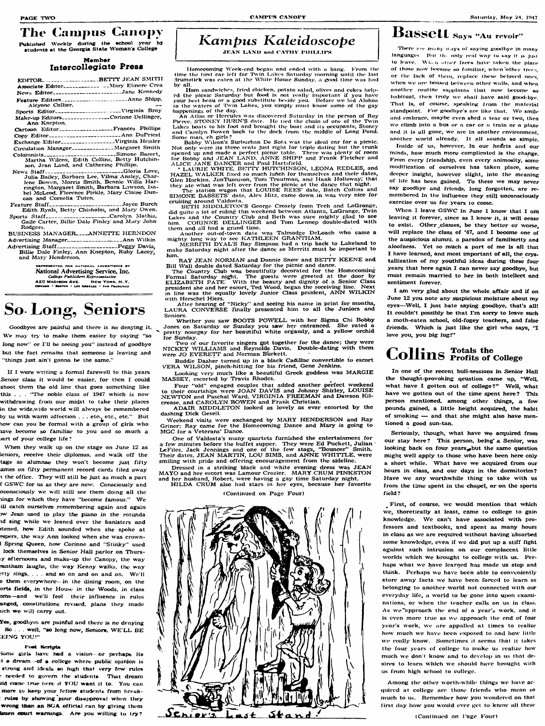### The Campus Canopy

Published Weekly during the school year b**y students at the Georgia State Woman s CoUege**

#### **Member Intercollegiate Press**

**Feature Staff\_\_\_\_\_\_\_\_\_\_\_\_\_\_\_\_\_\_\_\_\_\_\_\_\_\_\_ Joyce Burch Edith Ryals, Betty Chisholm, and Alary Owen.** Sports Staff\_\_\_\_\_\_\_\_\_\_\_\_\_\_\_\_\_\_\_\_\_\_Carolyn Mathis.

|                  | Associate Editor_____________ __Mary Elinore Crea                                                |
|------------------|--------------------------------------------------------------------------------------------------|
|                  | News Editor____________________Jane Kennedy                                                      |
|                  | Feature EditorsAnne Shipp.                                                                       |
| Aleyone Collier. |                                                                                                  |
|                  | Sports Editor---------------------Virginia Bray                                                  |
|                  | Make-up Editors________________Corinne Dellinger,                                                |
| Ann Knepton.     |                                                                                                  |
|                  | Cartoon Editor________________Frances Phillips                                                   |
|                  | Copy Editor______________________Ann DuPriest                                                    |
|                  | Exchange Editor--------------------Virginia Heisler                                              |
|                  | Circulation Manager______________Margaret Smith                                                  |
|                  | Columnists_____________________Simone Basset,                                                    |
|                  | Martha Wilcox, Edith Collins, Betty Hutchin-                                                     |
|                  | son, Jean Land, and Cathering Phillips.                                                          |
|                  | News Staff--------------------------Gloria Love,                                                 |
|                  | Julia Bailey, Barbara Lee, Vilma Ansley, Char-                                                   |
|                  | lene Bowen, Morris Smith, Bennie Willa Har-                                                      |
|                  | rington, Margaret Smith, Barbara Lawson, Isa-<br>hel Met ood. Floropoo Dirkla. Morv. Clairo Dun- |
|                  |                                                                                                  |

BUSINESS MANAGER **ANNETTE** HERNDON **Advertising Alanager\_\_\_\_\_\_\_\_\_\_\_\_\_\_\_\_\_\_\_\_\_ Ann Wilkin**

**bel McLeod. Florence Pirkle, Alary Ciairc Duncan and Cornelia Tuten.**

**Gaile Carter, Billie Dale Finley and Alary John Rodgers.**

**Advertising Staff--------------------------------- Peggy Davis, BiUie Dale Finley, Ann Knepton, Ruby Lacey, and Mary Henderson.**

> DE NATIONAL ADVERTISING BY **National Adveptising Service, Ine AZO MADIBON AVE.** NEW YORK, N.Y.<br>CREASO . BOSTON . LOS ARGELES . SAR PRARCISCO

## **So Long^ Seniors**

**Goodbyes arc painful and there is no denying it.** We may try to make them easier by saying "so **long now" or I'll be seeing you" instead of goodbye but the fact remains that someone is leaving and "things just ain't gonna be the same."**

Some girls have had a vision-or perhaps its **! a dream of a college where public opinion is** strong and ideals so high that very few rules **- needed to govern the students. That dream iid come true liere if YOU want it to. You can** more to keep your fellow students from break**rulos by showing your disafjprova! when they** wrong than an SGA official can by giving them **kwen eourt warnings A re you wiliing to try?**

**If I were wTiting a formal fareweU to this years Senior class it would be easier, for then I couid shoot them the old line that goes something like** this . . . "The noble class of 1947 which is now **withdrawing from our midst to take their places in the widc.wide world will always be remembered by us with warm affection . . . etc., etc., etc. '' But bow- can you be formal w ith a group of girls who become so fam iliar to you and so much a Mirt of your college life?**

Ham sandwiches, fried chicken, potato salad, olives and cokes helped the picnic Saturday but food is not really important if you have your best beau or a good substitute beside you. Before we bid Alohoa to the waters of Twin Lakes, you simply must know some of the gay **happenings of tho day.**

**B o b b y Wilson's Surhurhan De Sota was the ideal car for a pictiic.** Not only were its three scats just right for triple dating but the trunk opened up and made a perfect picnic table. There was plenty of roon for Bobby and JEAN LAND, ANNE SHIPP and Frank Fletcher and ALICE JANE DANCER and Paul Hartsfield.

LAURIE WHITE, BETTY HUTCHINSON, LEONA REDLES, and HAZEL WALKER fixed so much lunch for themselves and their dates, **Glen Harkins, JimTunnison. Tont Trvutman, and Hank HoHowayJ that they ate w-hat was left over from the picnic at the dance that night.**

The station wagon that LOUISE REES' date, Batch Collins and SIMONE BASSETS' date, Alex Hitz, came down in was very nice for **cruising around V^aldosta.**

BETH MIDDLETON'S George Crosely from Tech and LaGrange, did quite a lot of riding this weekend between Atlanta, LaGrange, Twin **Lakes and the Country Club and Beth was sure mighty glad to see** him. CORINNE DELLINGER and Tom Lennep double-dated with them and all had a grand time.

**When they walk up on the stage on June 12 as seniors, receive their dipionaas, and walk off the tage as alumnae they won't become just fifty** ames on fifty permanent record cards filed away 1 **the office. They w-iH stili be just as much a part** f GSWC for us as they are now. Consciously and **nconsciously we will still see them doing all the** fings for which they have "become famous." We **ill catch ourselves remembering again and again ?w Jean used to play the piano in the rotunda Td sing while we leaned over the banisters and ftened, how Edith sounded when she spoke at** espers, the way Ann looked when she was crown**i Spring Queen, how- Corinne and "Stinky" used lock themselves in Senior HalJ parior on Thursty afternoons and make-up the Canopy, the way irantham laughs, the way Kenny walks, the way**

### **Kampus Kaleidoscope**

**JEAN LAND and CATHY PHILLIPS** 

**Another out-of-town date was Talmadge DeLoach who came a** mighty long way to see KATHLEEN GRANTHAM.

**MERRITH DYAL'S Ray Simpson had a trip back to Lakeland to make Saturday night after the dance so Merritt must be important to him.**

RAY JEAN NORMAN and Donnie Snow and BETTY KEENE and Bill Wall double dated Saturday for the picnic and dance.

After hearing of "Nicky" and seeing his name in print for months, LAURA CONVERSE finally presented him to all the Juniors and **Seniors.**

Whether you saw BOOTS POWELL with her Sigma Chi Bobby **Jones on Saturday or Sunday you saw her entranced. She rated a pretty nosegay for her beautiful white organdy, and a yellow orchid for Sunday.**

**Two of our favorite singers got together for the dance; they were** NICKEY WILLIAMS and Reynolds Davis. Double-dating with them were JO EVERETT and Norman Burkett.

**yes, goodbyes are painful and there is no denying** So . . . well, "so long now, Seniors, WE'LL BE **E fN G Y O U !"**

#### Fost Scripts

**Buddie Dasher turned up in a black Cadillac convertible fo escort** VERA WILSON, pinch-hitting for his friend, Gene Jenkins.

Looking very much like a beautiful Greek goddess was MARGIE **AIASSEY , escorted by Travis Rhodes.**

Four "old" engaged couples that added another perfect weekend to their courtships were JOAN DAVIS and Johnny Shirley, LOUISE NEWTON and Paschal Ward, VIRGINIA FREEMAN and Dawson Kilcrease, and CAROLYN BOWEN and Frank Christian.

ADAIR MIDDLETON looked as lovely as ever escorted by the dashing Dick Gesell.

**Weekend visits were exchanged by MARY HENDERSON and Ray** Griner; Ray came for the Homecoming Dance and Mary is going to **M G C for a Veterans' Dance.**

**Homecoming Week-end began and ended with a bang. From tlw** time the first car left for Twin Lakes Saturday morning until the last drumstick was eaten at the White House Sunday, a good time was had **by alb**

**An Atlas or Hercules was discovered Satuixlay in the person of Roy** Pierce, STONEY HURN'S date. He tied the chain of one of the Twin Lakes boats to his foot and brought the boat and its occupants, Stoney and Carolyn Bowen back to the dock from the middle of Long Pond. **Some man. eh girls?**

> When I leave GSWC in June I know that I am leaving it forever, since as I know it, it will cease **to exist. Other classes, bo they better or worse,** will replace the class of '47, and I become one of the auspicious alumni, a paradox of familiarity and **aloofness. Yet so much a part of me is all that** I have learned, and most important of all, the crystallization of my youthful ideas during these four **years that here again I can never say goodbye, but must remain married to her in both intellect and sentiment forever.**

> I am very glad about the whole affair and if on **June 12 you note any suspicious moisture about my eyes— ^Well, I just hate saying goodbye, that's all! It couldn't possibly be that I'm sorry to leave such a moth-eaten school, old-fogey teachers, and false friends. Which is just like the girl who says, " I** love you, you big lug!"

## Collins **Totals** the College

In one of the recent bull-sessions in Senior Hall the thought-provoking qeustion came up, "Well, what have I gotten out of college?" Well, what have we gotten out of the time spent here? This **person mentioned, among other things, a few pounds gained, a little height acquired, the habit** of smoking — and that she might also have men**tioned a good sun-tan.**

Seriously, though, what have we acquired from **our stay here ? This person, being' a Senior, was** looking back on four years, but the same question might well apply to those who have been here only a short while. What have we acquired from our **hours in class, and our days in the dormitories?** Have we any worthwhile thing to take with us from the time spent in the chapel, or on the sports **field?**

First, of course, we would mention that which **wc, thorctically at least, came to college to gain** knowledge. We can't have associated with professors and textbooks, and spent as many hours in class as we are required without having absorbed **some knowledge, even if wc did put up a stiff fight against such intrusion on our complacent little** worlds which we brought to college with us. Perhaps what we have learned has made us stop and think. Perhaps we have been able to conveniently store away facts we have been forced to learn as **belonging to another world not connected with our** everyday life, a world to be gone into upon exami**nations, or when the teacher calls on us in class.** As we approach the end of a year's work, and it is even more true as we approach the end of four year's work, we are appalled at times to realize how much we have been exposed to and how little we really know. Sometimes it seems that it takes the four years of college to make us realize how much we don't know and to develop in us that desires to learn which we should have brought with **us from high school to college.**

rtty sings, . . . and so on and on and on. We'll **e them everywhere- in the dining room, on the orts fields, in the House in the Woods, in class coms—and we'll feel their influence in rules anged, constitutions revised, plans they made** ich we will carry out.

> Among the other worth-while things we have acquired at college are those friends who mean so much to us. Remember how you wondered on that **first day how you would ever get to know all these**

**The Country Club w'as beautifully decorated for the Homecoming Formal Saturday' nig;ht. The guests were greeted at the door by ELIZABETH PATE.** With the beauty and dignity of a Senior Class **president she and her escort, Ted Wood, began the receiving line. Next** in line was the equally lovely Junior Class prsident, ANN WILKIN **w ith Herschcl Hiers.**

**One of Valdosta's many quartets furnished the entertainnaent for** a few minutes bef**o**re the buffet supper. They were Ed Puckett, Julian **LeFilcs. Jack Jennings and one of the few stags, "BounceF\* Smith.** Their dates, JEAN MARTIN, LOU SIMS, and ANNE WHITTLE, were **smiling with pride and offering encouragement from the sideline.**

Dressed in a striking black and white evening dress was JEAN **MAYO and her escort was Lamour Crozier. MARY CRUM PINKSTON and her husband, Robert, were havipg a gay time Saturday night.** HILDA CRUM also had stars in her eyes, because her favorite

#### (Continued on Page Four)



### $\mathbf{B}$ ass $\mathbf{e}$ tt says "Au revoir

There my many ways of saying goodbye in many languages. But the only real way to say it is just to leave. When other faces have taken the place of those now become so familiar, when other trees, or the lack of them, replace these beloved ones, when we are boused between other walls, and when another routine supplants that now become so habitual, then truly we shall have said good-bye. That is, of course, speaking from the material standpoint. For goodbyc's are like that. We smile and embrace, maybe even shed a tear or two, then we climb into a bus or a car or a train or a plane **and it is al! gone, wc are in another environment,** another world already. It all sounds so simple.

**Inside of us, however, lo our hcffrts and our minds, how much more complicated is the change. From every friendship, even every animosity, some modification of ourselves has taken place, some deeper insight, however slight, into the meaning of life has been gained. To those wc may never say goodbye and friends, long forgotten, are remembered In the influence they still unconsciously exercise over us for years to come.**

**(Continued on Page Fou r)**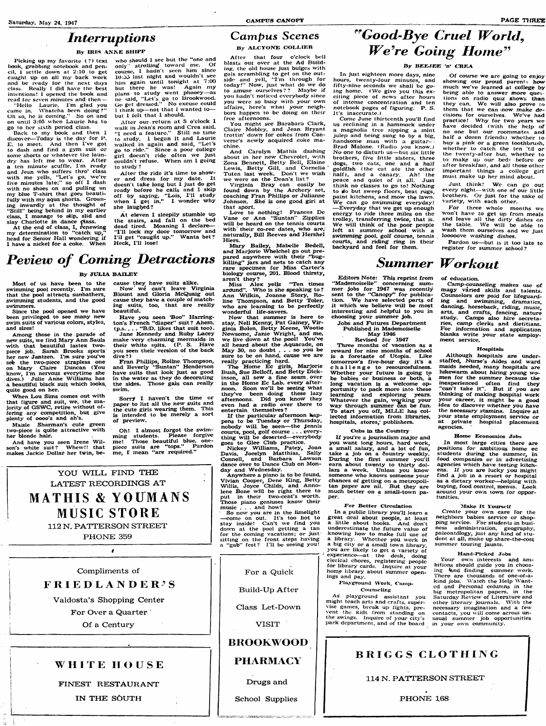### **Interruptions**

#### **By IRIS ANNE SHIPP**

**Picking up my favorite (? ) text book, grabbing notebook and pencii, i settle down at 2:10 to get caught up on aii my back work and be ivady for the next days ciass. Really 1 did have the best** intentions! I opened the book and **read for seven minutes and then —**

**Back to my book and then I discover— Today is the day for P. E. to meet. And then I've got** to dash and find a gym suit or **some shorts or whatever tiie laundry has left me to wear. A fter a ten minute scuffle. I m ready and Jean who suffers thro\* class with me yells, "Let's go, we re five minutes late:" so off I dash with no shoes on and pulling on my blue T-shirt that goes beautifully with my aqua shorts. Groaning inwardly at the thought of "S t ili' being behind in my earlier class, I manage to siip, slid and** slay Charlotte in dance class.

**"Helio Laurie. I'm giad you came in. Whatcha been doing?" Oh so, he is coming. " So on and on untii 3:05 when Laurie has to go to her sixth period ciass.**

> After the ride it's time to show**er and dress for my date. It doesn't take long but I just do get ready before he calls and I skip off by saying, "Lois, I'll study when I get in." I wonder why she laugljed?**

At eleven I sleepily stumble up **the stairs, and fa ll on the bed dead tired. Moaning I declare— " I'l l lock my door tomorrow and** I'll get "caught up." Wanta bet? **Heck, I'll lose!**

### Campus Scenes

**By ALCYONE COLLIER** 

**A t the end of class, I, renewing my determination to "catch up,"** head for Senior Hall wondering if **I have a nickel for a coke. When**

**who should I sec but the "one and** only" strolling toward me. Of course, I hadn't seen him since **10:55 last night and wouldn't see him again until tonight at 7 :00 but there he was! Again my plans to study went phoocy— as nc said, "L et s go to Brookwood.** Go get dressed.'' No excuse could **I think up— not that 1 wanted to but I felt that I should.**

And have you seen Irene Wil-<br>m's white suit? Whew!! that son's white suit? **makes Jackie Dollar her twin, be-**

**After our return at 5 o'clock I waik in Jean's room and Crea said,** "I need a feature." Still no time **to study. I began it and Laurie walked in again and said, "Let's go to ride." Since a poor coiiege girl doesn't ride often we just couldn't refuse. When am I going to study ?**

Have you seen 'Boo'' Harring**ton's FYench "diaper" suit? Ahem. (p.s. . . . "B.'D. likes that suit too).**

### LATEST RECORDINGS AT MATHIS & YOUMANS MUSIC STORE **112 N. RATTERSON STREET PHO NE 359**

YOU WILL FIND THE

If the particular afternoon hap-

**Most of us have been to the swimming pool recently. I'm sure that the pool attracts sunbathers, swimming students, and the good swimmers.**

**Since the pool opened we have been privileged to see many new swim suits of various colors, styles, and sizes!**

**Among those in the parade of** new suits, we find Mary Ann Sauls with that beautiful lastex two**piece job. Sarah Brooks sports her new Jantzen. I'm sure you've seb the two-piece strapless one** on Mary Claire Duncan (You **know, I'm nervous everytime she** dives.) Julie Anne Williams has **a beautiful black suit which looks, quite good on her.**

**When Lou Sims comes out with that figure and suit, we. the majority of GSW C , retire without offering any competition, but give plenty of oooo's and ah\*s.**

**Maisie Sharman's cute green two-piece is quite attractive with her blonde hair.**

**cause they have suits alike.** Now we can't leave Virginia **Blount and Gloria McQuaig out cause they hav^ a couple of matching suits, too, that are reaily beautiful.**

**Jane Kennedy and Ruby Lacey make very charming mermaids in** their white suits. (P. S. Have **you seen their version of the back dive ? )**

**Fran Phillips, Roline Thompson, and Beverly "Suntan" Henderson have suits that look just as good in the water as they do decorating the sides. Those gals can really swim.**

**Sorry I haven't the time or** paper to list all the new suits and **the cute girls wearing them. This is intended to be merely a sort of preview.**

Of course we are going to enjoy **showing our proud parents how much we've learned at college by being able to answer more ques tions on radio quiz shows than** they can. We will also prove to **them that we can now make decisions for ourselves. W e've had practice! W hy for two years we have decided ( with the help of no one but our roommates and half a dozen friends) whether to buy a pink or a green toothbrush,** whether to catch the ten 'til or **the twenty-after bus, whether to to make up our beds before or after breakfast, and all those other important things a coUege girl must make up her mind about.**

Just think! We can go out **every night— with one of our little brothers.** Or just for the sake of **variety, with each other.**

**Oh! I almost forgot the swimming students. Please forgive me! Those beautiful blue, onepiece suits are "tops." Pardon me, r mean "are required."**

**m er jobs for 1947 was recently** sent to the "Canopy" for publication. We have selected parts of it which we believe will be most

**Compliments of**

|  |  |  |  | <b>FRIEDLANDER'S</b> |  |  |  |
|--|--|--|--|----------------------|--|--|--|
|  |  |  |  |                      |  |  |  |

**Valdosta's Shopping Center**

**For Over a Quarter**

**Of a Century**

#### **WHiTE HOUSE**

#### **FINEST RESTAURANT**

#### **IN THE SOUTH**

**Build-Up After** 

**A fter that four o'clock bell** blasts out over at the **Ad** Build**ing. the old house just bulges with gais scrambiing to get on the outside and ycil, "I'm through for today! " Now , just what do we do to amuse ourselves ? ? Maybe if you hadn't noticed everybody since you were so busy with your own affairs, here's whal your neigh**bors happen to be doing on their **free afternoons.**

> Camp-counseling makes use of **majpy varied skills and talents. Counselors are paid for lifeguard**tion. We have selected parts of and swimming, dramatics, it which we believe will be most dancing, horseback, riding, music, **arts, and crafts, fencing, nature study. Camps also hire secretaries, camp clerks and dietitians.** For information and application **blanks write your state employment service.**

**You might sec Barabara Ciark, Ciaire Mobley, and Jean Bryant trot tin' down for cokes from Con**verse's newly acquired coke ma**chine.**

**And Carolyn Mathis dashing about in her new- Chevrolet, with 2!ona Bennett, Betty Bell, Elaine Lewis, Betty Gill, and Cornelia Tuten last week. Don't we wish we were on the Dean's list?**

**Virginia Bray can easiiy be found down by the Archery set, coaching FTan Phillips or Julianne Johnson. She is one good giri at that sport.**

**Love to nothing! Frances De Vane or Ann "Suntan" Zipplies w ill be heard on the tennis courts with their co-rec dates, who are,** naturally, **Bill Reeves and Hershel Hiers.**

> way through summer can be fun. To start you off, MLLE has col**lected information from libraries, hospitals, stores,' publishers. Cubs in the Country** If you're a journalism major and **you want long hours, hard work,** a small salary, and a lot of fun, take a job on a country weekly. **During the first summer you'll earn about twenty to thirty dollars a week. Unless you know someone who knows someone your chances of getting on a metropolitan paper are nil. But they are**

**M asy Bailey, Mabelle Bedell, and M arjorie Whelchel go out pre**pared anywhere with their **"bugkilling" jars and nets to catch any rare specimen for Miss Carter's biology course, 201. Blood thirsty, aren't they?**

**So now you are in the limelight — come on out. It's too hot to stay inside! Can't we find you** for the coming vacations; or just sitting on the front steps having

## "Good-Bye Cruel World, We're Going Home"

#### By BEEJEE 'n' CREA

**Miss A lex yells "Ten times** ardund". Who is she speaking to? **Ann Wilkin, Joanne Story, Roline Thompson, and Betty Toler, who are learning to be perfectly wonderful life-savers.**

> **For Better Circulation In a public library you'll leam a great deal about people, at least a little about books. And don't** underestimate the future value of

**a** library. Whether you work in **a** big city or **a** small town library, **you are likely to get a variety of** <sup>'</sup> experience—at the desk, doing<br>clerical chores, registering people

down at the pool getting a tan **a "gab" fcst? I'll be seeing you!**

**N ow that summer is here to stay, N e ll Kenny, P at Gainey, V ir ginia Bolen, Betty Keene, Wootie Newsome, Janie W right, and me, we live down at the pool! You've all heard about the Aquacade, on M ay 30, no doubt . . . so you be** sure to be on hand, cause we are **really practicing hard.**

> Create your own care for the **neighbors babies service or shop**ping service. For students in busi**ness administration, geography, paJeontdlogy, just an^- kind of stu**dent at all, make up share-the-cost **summer touring jaunts.**

Your own interests and am**bitions should guide you in choos**ing land finding summer work. **There are thousands of one-of-a-**

**kind jobs. Watch the Help Wanted and Fersonai columns in the big metropolitan papers, in the** As playground assistant you Saturday Review of Literature and might teach arts and crafts, super-<br>other literary journals. With the other literary journals. With the<br>necessary imagination and a few vise games, break up fights, pre- necessary imagination and a few vent the kids from standing on contacts, you will come across un-Vent the kids from standing on contacts, you will come across unthe swings. Inquire of your city's usual summer job opportunities

### **Peview of Coming Detractions BY JULIA BAILEY**

**In just eighteen more days, nine hours, twenty-four minutes, and fifty-nine seconds wc shall be go**ing home. (We give you this ex**citing piece of news after hours of intense concentration and ten notebook pages of figuring; P. S. It's inaccurate.)**

> **BRIGGS CLOTHING 114 N. PATTERSON STREET PHONE 168**

**Come June thirteenth you'll find us reclining in a hammock under a magnolia tree sipping a mint julep and being sung to by a big, handsome man with a guitar— Brad Malone. (Radio you know.)** No one to disturb us-but six little **brothers, five little sisters, three dogs, two cats, one and a half goldfish (the cat ate the other ha lf), and a canary. Ah ! the peace and quiet of it all. Just think no classes to go to! Nothing to do but sweep floors, beat rugs, paint kitchens, and mow the lawn. W e can go swimming everyday! — Everyday that we get up enough energy to ride three miles on the trolley, transferring twice, that is.** We will think of the poor people **left at summer school with a swimming pool, golf course, tennis courts, and riding ring in their backyard and feel for them.**

**The Home Ec girls, Marjorie Bush, Sue Belloff, and Betty Dickinson, all sew a fine seam . over** in the Home Ec Lab. every after-<br>noon. Soon we'll be seeing what noon. Soon we'll be seeing what portunity to pack more into these<br>they've been doing these lazy learning and exploring years. they've been doing these lazy learning and exploring years.<br>afternoons. Did you know they Whatever the gain, working your **even had a radio over there to entertain themselves?**

**For three whole months we Won't have to get up from meals and leave all the dirty dishes on** the table. We will be abl<del>e</del> to **wash them ourselves and we just looooove washing dishes.**

**Pardon us— but is it too late to register for summer school?**

### **Summer Workout**

**Editors Note: This reprint from**

**"Mademoiselle" concerning sum-**

**of education.**

**interesting and heipfui to you in choosing your summer job. Jobs and Futures Department Published in Mademoiselle M ay 1946 Revised for 1947** Three months of vacation as a reward for nine months of school **is a foretaste of Utopia. Like tomorrow's five-hour day it's a c h a l len g e to resourcefulness. Whether your future is going to be babies or business or both, a**

Whatever the gain, working your

#### **Hospitals**

**pens to be Tuesday or Thursday,** nobody will be seen-the tennis courts, pool, golf course . . . every**thing w ill be deserted— everybody goes to Glee Club practice.**

**Nickey W illiams, Patey, Joan Davis, Jocelyn Matthias, Sally Connell, and Barbara Lawson dance over to Dance Club on Mon-**

**Although hospitals are understaffed, Nurse's Aides and ward maids needed, many hospitals are lukewarm about hiring young women for the summer because the inexperienced often find they "c an t take it". But if you are thinking of making hospital work** idea to discover whether you have **the necessary stamina. Inquire at your state employment service or at private hospital placement agencies.**

**day and Wednesday.**

**Anywhere a piano is to be found, music . . . and how!**

**Vivian Cooper, Dene King, Betty Willis, Joyce Childs, and Anno**lene Bone will be right there to much better on a small-town pa-<br>put in their two-cent's worth. per. **put in their two-cent's worth. Those piano geniuses know their**

#### **Home Economics Jobs**

**In most large cities there are positions for ambitious home ec students during the summer, in food companies or in advertising** agencies which have testing kitchens. If you are lucky you might **find a job in a resort or hospital as a dietary worker— helping with buying, food control, menus. Look per. tunities.**

#### **Make It Yourself**

**For a Quick**

**Class Let-Down**

**VISIT**

#### **BROOKWOOD**

**PHARMACY**

**for library cards. Inquire at your home library about summer open-**

**Counseling**<br>As playground assistant you **the sAvings. Inquire of your city's usual summer job opportunities** park department, and of the board in your own community.

**ings and pay.**

#### **Hand-Picked Jobs**

**Drugs and**

**School Supplies**

### Playground Work, Camp-